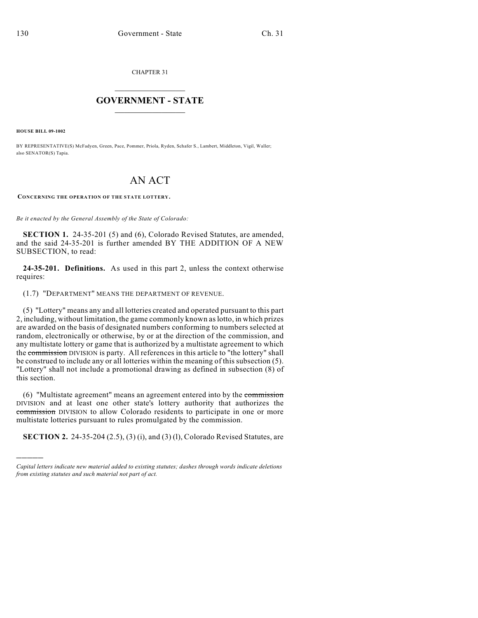CHAPTER 31

## $\overline{\phantom{a}}$  . The set of the set of the set of the set of the set of the set of the set of the set of the set of the set of the set of the set of the set of the set of the set of the set of the set of the set of the set o **GOVERNMENT - STATE**  $\_$

**HOUSE BILL 09-1002**

)))))

BY REPRESENTATIVE(S) McFadyen, Green, Pace, Pommer, Priola, Ryden, Schafer S., Lambert, Middleton, Vigil, Waller; also SENATOR(S) Tapia.

## AN ACT

**CONCERNING THE OPERATION OF THE STATE LOTTERY.**

*Be it enacted by the General Assembly of the State of Colorado:*

**SECTION 1.** 24-35-201 (5) and (6), Colorado Revised Statutes, are amended, and the said 24-35-201 is further amended BY THE ADDITION OF A NEW SUBSECTION, to read:

**24-35-201. Definitions.** As used in this part 2, unless the context otherwise requires:

(1.7) "DEPARTMENT" MEANS THE DEPARTMENT OF REVENUE.

(5) "Lottery" means any and all lotteries created and operated pursuant to this part 2, including, without limitation, the game commonly known as lotto, in which prizes are awarded on the basis of designated numbers conforming to numbers selected at random, electronically or otherwise, by or at the direction of the commission, and any multistate lottery or game that is authorized by a multistate agreement to which the commission DIVISION is party. All references in this article to "the lottery" shall be construed to include any or all lotteries within the meaning of this subsection (5). "Lottery" shall not include a promotional drawing as defined in subsection (8) of this section.

(6) "Multistate agreement" means an agreement entered into by the commission DIVISION and at least one other state's lottery authority that authorizes the commission DIVISION to allow Colorado residents to participate in one or more multistate lotteries pursuant to rules promulgated by the commission.

**SECTION 2.** 24-35-204 (2.5), (3) (i), and (3) (1), Colorado Revised Statutes, are

*Capital letters indicate new material added to existing statutes; dashes through words indicate deletions from existing statutes and such material not part of act.*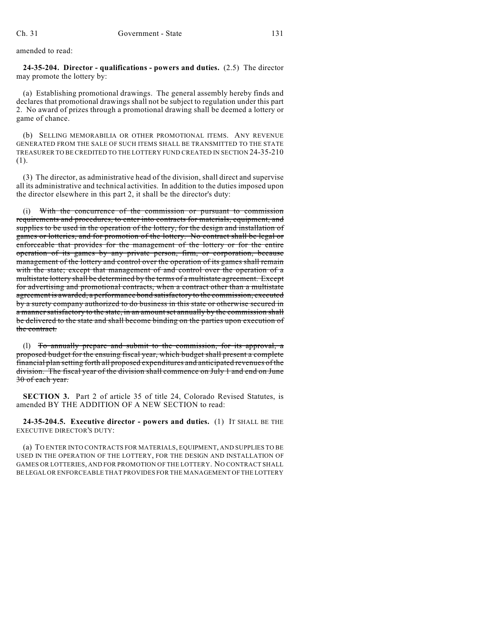amended to read:

**24-35-204. Director - qualifications - powers and duties.** (2.5) The director may promote the lottery by:

(a) Establishing promotional drawings. The general assembly hereby finds and declares that promotional drawings shall not be subject to regulation under this part 2. No award of prizes through a promotional drawing shall be deemed a lottery or game of chance.

(b) SELLING MEMORABILIA OR OTHER PROMOTIONAL ITEMS. ANY REVENUE GENERATED FROM THE SALE OF SUCH ITEMS SHALL BE TRANSMITTED TO THE STATE TREASURER TO BE CREDITED TO THE LOTTERY FUND CREATED IN SECTION 24-35-210 (1).

(3) The director, as administrative head of the division, shall direct and supervise all its administrative and technical activities. In addition to the duties imposed upon the director elsewhere in this part 2, it shall be the director's duty:

With the concurrence of the commission or pursuant to commission requirements and procedures, to enter into contracts for materials, equipment, and supplies to be used in the operation of the lottery, for the design and installation of games or lotteries, and for promotion of the lottery. No contract shall be legal or enforceable that provides for the management of the lottery or for the entire operation of its games by any private person, firm, or corporation, because management of the lottery and control over the operation of its games shall remain with the state; except that management of and control over the operation of a multistate lottery shall be determined by the terms of a multistate agreement. Except for advertising and promotional contracts, when a contract other than a multistate agreement is awarded, a performance bond satisfactory to the commission, executed by a surety company authorized to do business in this state or otherwise secured in a manner satisfactory to the state, in an amount set annually by the commission shall be delivered to the state and shall become binding on the parties upon execution of the contract.

(l) To annually prepare and submit to the commission, for its approval, a proposed budget for the ensuing fiscal year, which budget shall present a complete financial plan setting forth all proposed expenditures and anticipated revenues of the division. The fiscal year of the division shall commence on July 1 and end on June 30 of each year.

**SECTION 3.** Part 2 of article 35 of title 24, Colorado Revised Statutes, is amended BY THE ADDITION OF A NEW SECTION to read:

**24-35-204.5. Executive director - powers and duties.** (1) IT SHALL BE THE EXECUTIVE DIRECTOR'S DUTY:

(a) TO ENTER INTO CONTRACTS FOR MATERIALS, EQUIPMENT, AND SUPPLIES TO BE USED IN THE OPERATION OF THE LOTTERY, FOR THE DESIGN AND INSTALLATION OF GAMES OR LOTTERIES, AND FOR PROMOTION OF THE LOTTERY. NO CONTRACT SHALL BE LEGAL OR ENFORCEABLE THAT PROVIDES FOR THE MANAGEMENT OF THE LOTTERY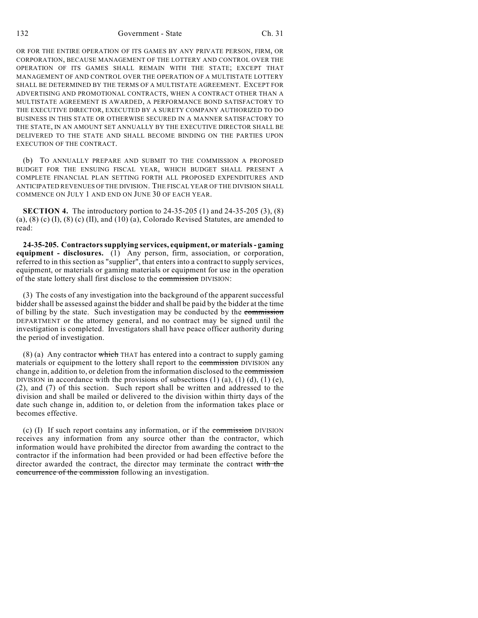OR FOR THE ENTIRE OPERATION OF ITS GAMES BY ANY PRIVATE PERSON, FIRM, OR CORPORATION, BECAUSE MANAGEMENT OF THE LOTTERY AND CONTROL OVER THE OPERATION OF ITS GAMES SHALL REMAIN WITH THE STATE; EXCEPT THAT MANAGEMENT OF AND CONTROL OVER THE OPERATION OF A MULTISTATE LOTTERY SHALL BE DETERMINED BY THE TERMS OF A MULTISTATE AGREEMENT. EXCEPT FOR ADVERTISING AND PROMOTIONAL CONTRACTS, WHEN A CONTRACT OTHER THAN A MULTISTATE AGREEMENT IS AWARDED, A PERFORMANCE BOND SATISFACTORY TO THE EXECUTIVE DIRECTOR, EXECUTED BY A SURETY COMPANY AUTHORIZED TO DO BUSINESS IN THIS STATE OR OTHERWISE SECURED IN A MANNER SATISFACTORY TO THE STATE, IN AN AMOUNT SET ANNUALLY BY THE EXECUTIVE DIRECTOR SHALL BE DELIVERED TO THE STATE AND SHALL BECOME BINDING ON THE PARTIES UPON EXECUTION OF THE CONTRACT.

(b) TO ANNUALLY PREPARE AND SUBMIT TO THE COMMISSION A PROPOSED BUDGET FOR THE ENSUING FISCAL YEAR, WHICH BUDGET SHALL PRESENT A COMPLETE FINANCIAL PLAN SETTING FORTH ALL PROPOSED EXPENDITURES AND ANTICIPATED REVENUES OF THE DIVISION. THE FISCAL YEAR OF THE DIVISION SHALL COMMENCE ON JULY 1 AND END ON JUNE 30 OF EACH YEAR.

**SECTION 4.** The introductory portion to 24-35-205 (1) and 24-35-205 (3), (8) (a), (8) (c) (I), (8) (c) (II), and (10) (a), Colorado Revised Statutes, are amended to read:

**24-35-205. Contractors supplying services, equipment, or materials - gaming equipment - disclosures.** (1) Any person, firm, association, or corporation, referred to in this section as "supplier", that enters into a contract to supply services, equipment, or materials or gaming materials or equipment for use in the operation of the state lottery shall first disclose to the commission DIVISION:

(3) The costs of any investigation into the background of the apparent successful bidder shall be assessed against the bidder and shall be paid by the bidder at the time of billing by the state. Such investigation may be conducted by the commission DEPARTMENT or the attorney general, and no contract may be signed until the investigation is completed. Investigators shall have peace officer authority during the period of investigation.

 $(8)$  (a) Any contractor which THAT has entered into a contract to supply gaming materials or equipment to the lottery shall report to the commission DIVISION any change in, addition to, or deletion from the information disclosed to the commission DIVISION in accordance with the provisions of subsections  $(1)$   $(a)$ ,  $(1)$   $(d)$ ,  $(1)$   $(e)$ , (2), and (7) of this section. Such report shall be written and addressed to the division and shall be mailed or delivered to the division within thirty days of the date such change in, addition to, or deletion from the information takes place or becomes effective.

(c) (I) If such report contains any information, or if the commission DIVISION receives any information from any source other than the contractor, which information would have prohibited the director from awarding the contract to the contractor if the information had been provided or had been effective before the director awarded the contract, the director may terminate the contract with the concurrence of the commission following an investigation.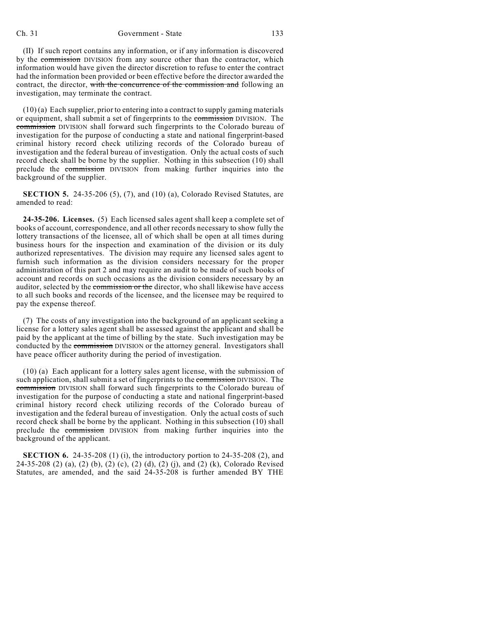## Ch. 31 Government - State 133

(II) If such report contains any information, or if any information is discovered by the commission DIVISION from any source other than the contractor, which information would have given the director discretion to refuse to enter the contract had the information been provided or been effective before the director awarded the contract, the director, with the concurrence of the commission and following an investigation, may terminate the contract.

(10) (a) Each supplier, prior to entering into a contract to supply gaming materials or equipment, shall submit a set of fingerprints to the commission DIVISION. The commission DIVISION shall forward such fingerprints to the Colorado bureau of investigation for the purpose of conducting a state and national fingerprint-based criminal history record check utilizing records of the Colorado bureau of investigation and the federal bureau of investigation. Only the actual costs of such record check shall be borne by the supplier. Nothing in this subsection (10) shall preclude the commission DIVISION from making further inquiries into the background of the supplier.

**SECTION 5.** 24-35-206 (5), (7), and (10) (a), Colorado Revised Statutes, are amended to read:

**24-35-206. Licenses.** (5) Each licensed sales agent shall keep a complete set of books of account, correspondence, and all other records necessary to show fully the lottery transactions of the licensee, all of which shall be open at all times during business hours for the inspection and examination of the division or its duly authorized representatives. The division may require any licensed sales agent to furnish such information as the division considers necessary for the proper administration of this part 2 and may require an audit to be made of such books of account and records on such occasions as the division considers necessary by an auditor, selected by the *commission or the director*, who shall likewise have access to all such books and records of the licensee, and the licensee may be required to pay the expense thereof.

(7) The costs of any investigation into the background of an applicant seeking a license for a lottery sales agent shall be assessed against the applicant and shall be paid by the applicant at the time of billing by the state. Such investigation may be conducted by the commission DIVISION or the attorney general. Investigators shall have peace officer authority during the period of investigation.

(10) (a) Each applicant for a lottery sales agent license, with the submission of such application, shall submit a set of fingerprints to the commission DIVISION. The commission DIVISION shall forward such fingerprints to the Colorado bureau of investigation for the purpose of conducting a state and national fingerprint-based criminal history record check utilizing records of the Colorado bureau of investigation and the federal bureau of investigation. Only the actual costs of such record check shall be borne by the applicant. Nothing in this subsection (10) shall preclude the commission DIVISION from making further inquiries into the background of the applicant.

**SECTION 6.** 24-35-208 (1) (i), the introductory portion to 24-35-208 (2), and 24-35-208 (2) (a), (2) (b), (2) (c), (2) (d), (2) (j), and (2) (k), Colorado Revised Statutes, are amended, and the said 24-35-208 is further amended BY THE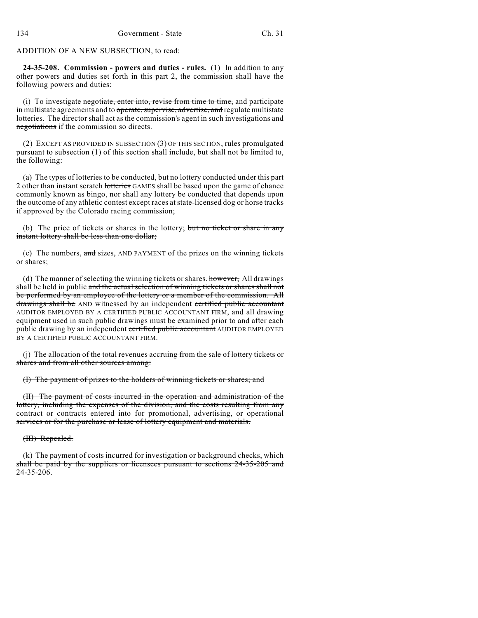ADDITION OF A NEW SUBSECTION, to read:

**24-35-208. Commission - powers and duties - rules.** (1) In addition to any other powers and duties set forth in this part 2, the commission shall have the following powers and duties:

(i) To investigate negotiate, enter into, revise from time to time, and participate in multistate agreements and to operate, supervise, advertise, and regulate multistate lotteries. The director shall act as the commission's agent in such investigations and negotiations if the commission so directs.

(2) EXCEPT AS PROVIDED IN SUBSECTION (3) OF THIS SECTION, rules promulgated pursuant to subsection (1) of this section shall include, but shall not be limited to, the following:

(a) The types of lotteries to be conducted, but no lottery conducted under this part 2 other than instant scratch lotteries GAMES shall be based upon the game of chance commonly known as bingo, nor shall any lottery be conducted that depends upon the outcome of any athletic contest except races at state-licensed dog or horse tracks if approved by the Colorado racing commission;

(b) The price of tickets or shares in the lottery; but no ticket or share in any instant lottery shall be less than one dollar;

(c) The numbers, and sizes, AND PAYMENT of the prizes on the winning tickets or shares;

(d) The manner of selecting the winning tickets or shares. however, All drawings shall be held in public and the actual selection of winning tickets or shares shall not be performed by an employee of the lottery or a member of the commission. All drawings shall be AND witnessed by an independent certified public accountant AUDITOR EMPLOYED BY A CERTIFIED PUBLIC ACCOUNTANT FIRM, and all drawing equipment used in such public drawings must be examined prior to and after each public drawing by an independent certified public accountant AUDITOR EMPLOYED BY A CERTIFIED PUBLIC ACCOUNTANT FIRM.

(j) The allocation of the total revenues accruing from the sale of lottery tickets or shares and from all other sources among:

(I) The payment of prizes to the holders of winning tickets or shares; and

(II) The payment of costs incurred in the operation and administration of the lottery, including the expenses of the division, and the costs resulting from any contract or contracts entered into for promotional, advertising, or operational services or for the purchase or lease of lottery equipment and materials.

(III) Repealed.

(k) The payment of costs incurred for investigation or background checks, which shall be paid by the suppliers or licensees pursuant to sections 24-35-205 and  $24 - 35 - 206$ .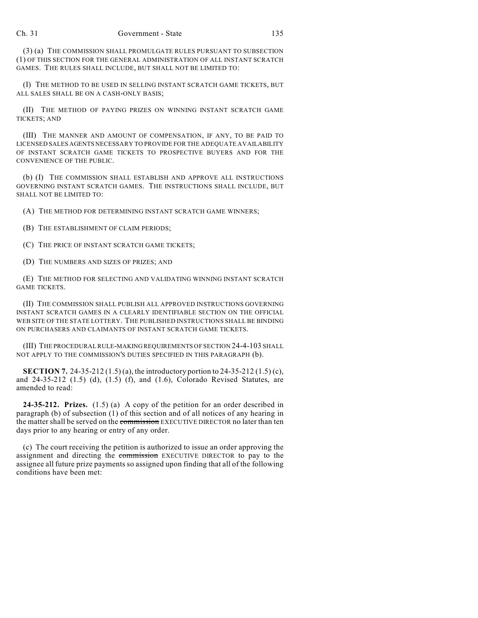(3) (a) THE COMMISSION SHALL PROMULGATE RULES PURSUANT TO SUBSECTION (1) OF THIS SECTION FOR THE GENERAL ADMINISTRATION OF ALL INSTANT SCRATCH GAMES. THE RULES SHALL INCLUDE, BUT SHALL NOT BE LIMITED TO:

(I) THE METHOD TO BE USED IN SELLING INSTANT SCRATCH GAME TICKETS, BUT ALL SALES SHALL BE ON A CASH-ONLY BASIS;

(II) THE METHOD OF PAYING PRIZES ON WINNING INSTANT SCRATCH GAME TICKETS; AND

(III) THE MANNER AND AMOUNT OF COMPENSATION, IF ANY, TO BE PAID TO LICENSED SALES AGENTS NECESSARY TO PROVIDE FOR THE ADEQUATE AVAILABILITY OF INSTANT SCRATCH GAME TICKETS TO PROSPECTIVE BUYERS AND FOR THE CONVENIENCE OF THE PUBLIC.

(b) (I) THE COMMISSION SHALL ESTABLISH AND APPROVE ALL INSTRUCTIONS GOVERNING INSTANT SCRATCH GAMES. THE INSTRUCTIONS SHALL INCLUDE, BUT SHALL NOT BE LIMITED TO:

(A) THE METHOD FOR DETERMINING INSTANT SCRATCH GAME WINNERS;

(B) THE ESTABLISHMENT OF CLAIM PERIODS;

(C) THE PRICE OF INSTANT SCRATCH GAME TICKETS;

(D) THE NUMBERS AND SIZES OF PRIZES; AND

(E) THE METHOD FOR SELECTING AND VALIDATING WINNING INSTANT SCRATCH GAME TICKETS.

(II) THE COMMISSION SHALL PUBLISH ALL APPROVED INSTRUCTIONS GOVERNING INSTANT SCRATCH GAMES IN A CLEARLY IDENTIFIABLE SECTION ON THE OFFICIAL WEB SITE OF THE STATE LOTTERY. THE PUBLISHED INSTRUCTIONS SHALL BE BINDING ON PURCHASERS AND CLAIMANTS OF INSTANT SCRATCH GAME TICKETS.

(III) THE PROCEDURAL RULE-MAKING REQUIREMENTS OF SECTION 24-4-103 SHALL NOT APPLY TO THE COMMISSION'S DUTIES SPECIFIED IN THIS PARAGRAPH (b).

**SECTION 7.** 24-35-212 (1.5) (a), the introductory portion to 24-35-212 (1.5) (c), and 24-35-212 (1.5) (d), (1.5) (f), and (1.6), Colorado Revised Statutes, are amended to read:

**24-35-212. Prizes.** (1.5) (a) A copy of the petition for an order described in paragraph (b) of subsection (1) of this section and of all notices of any hearing in the matter shall be served on the commission EXECUTIVE DIRECTOR no later than ten days prior to any hearing or entry of any order.

(c) The court receiving the petition is authorized to issue an order approving the assignment and directing the commission EXECUTIVE DIRECTOR to pay to the assignee all future prize payments so assigned upon finding that all of the following conditions have been met: